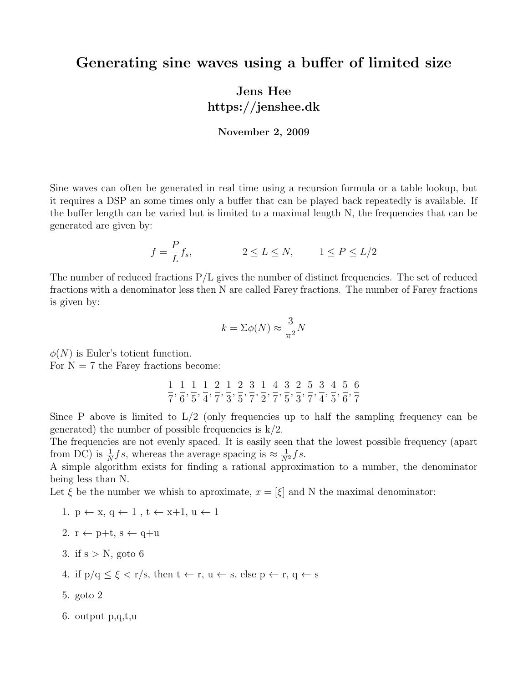## Generating sine waves using a buffer of limited size

## Jens Hee https://jenshee.dk

## November 2, 2009

Sine waves can often be generated in real time using a recursion formula or a table lookup, but it requires a DSP an some times only a buffer that can be played back repeatedly is available. If the buffer length can be varied but is limited to a maximal length N, the frequencies that can be generated are given by:

$$
f = \frac{P}{L} f_s, \qquad 2 \le L \le N, \qquad 1 \le P \le L/2
$$

The number of reduced fractions P/L gives the number of distinct frequencies. The set of reduced fractions with a denominator less then N are called Farey fractions. The number of Farey fractions is given by:

$$
k = \Sigma \phi(N) \approx \frac{3}{\pi^2} N
$$

 $\phi(N)$  is Euler's totient function.

For  $N = 7$  the Farey fractions become:

1 7 , 1 6 , 1 5 , 1 4 , 2 7 , 1 3 , 2 5 , 3 7 , 1 2 , 4 7 , 3 5 , 2 3 , 5 7 , 3 4 , 4 5 , 5 6 , 6 7

Since P above is limited to  $L/2$  (only frequencies up to half the sampling frequency can be generated) the number of possible frequencies is  $k/2$ .

The frequencies are not evenly spaced. It is easily seen that the lowest possible frequency (apart from DC) is  $\frac{1}{N}$ fs, whereas the average spacing is  $\approx \frac{1}{N^2}$ fs.

A simple algorithm exists for finding a rational approximation to a number, the denominator being less than N.

Let  $\xi$  be the number we whish to aproximate,  $x = [\xi]$  and N the maximal denominator:

- 1.  $p \leftarrow x, q \leftarrow 1, t \leftarrow x+1, u \leftarrow 1$
- 2.  $r \leftarrow p+t$ ,  $s \leftarrow q+u$
- 3. if  $s > N$ , goto 6
- 4. if  $p/q \leq \xi \leq r/s$ , then  $t \leftarrow r$ ,  $u \leftarrow s$ , else  $p \leftarrow r$ ,  $q \leftarrow s$
- 5. goto 2
- 6. output p,q,t,u